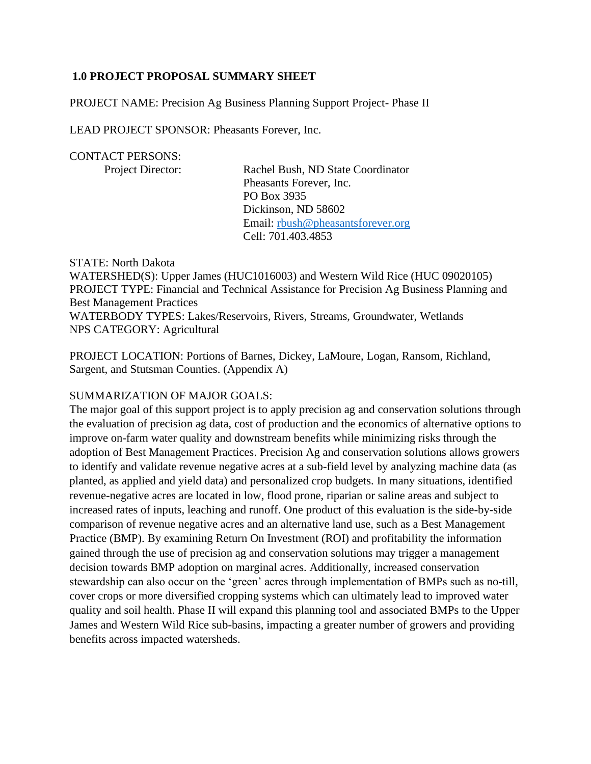# **1.0 PROJECT PROPOSAL SUMMARY SHEET**

PROJECT NAME: Precision Ag Business Planning Support Project- Phase II

LEAD PROJECT SPONSOR: Pheasants Forever, Inc.

#### CONTACT PERSONS:

Project Director: Rachel Bush, ND State Coordinator Pheasants Forever, Inc. PO Box 3935 Dickinson, ND 58602 Email: [rbush@pheasantsforever.org](mailto:rbush@pheasantsforever.org) Cell: 701.403.4853

STATE: North Dakota WATERSHED(S): Upper James (HUC1016003) and Western Wild Rice (HUC 09020105) PROJECT TYPE: Financial and Technical Assistance for Precision Ag Business Planning and Best Management Practices WATERBODY TYPES: Lakes/Reservoirs, Rivers, Streams, Groundwater, Wetlands NPS CATEGORY: Agricultural

PROJECT LOCATION: Portions of Barnes, Dickey, LaMoure, Logan, Ransom, Richland, Sargent, and Stutsman Counties. (Appendix A)

#### SUMMARIZATION OF MAJOR GOALS:

The major goal of this support project is to apply precision ag and conservation solutions through the evaluation of precision ag data, cost of production and the economics of alternative options to improve on-farm water quality and downstream benefits while minimizing risks through the adoption of Best Management Practices. Precision Ag and conservation solutions allows growers to identify and validate revenue negative acres at a sub-field level by analyzing machine data (as planted, as applied and yield data) and personalized crop budgets. In many situations, identified revenue-negative acres are located in low, flood prone, riparian or saline areas and subject to increased rates of inputs, leaching and runoff. One product of this evaluation is the side-by-side comparison of revenue negative acres and an alternative land use, such as a Best Management Practice (BMP). By examining Return On Investment (ROI) and profitability the information gained through the use of precision ag and conservation solutions may trigger a management decision towards BMP adoption on marginal acres. Additionally, increased conservation stewardship can also occur on the 'green' acres through implementation of BMPs such as no-till, cover crops or more diversified cropping systems which can ultimately lead to improved water quality and soil health. Phase II will expand this planning tool and associated BMPs to the Upper James and Western Wild Rice sub-basins, impacting a greater number of growers and providing benefits across impacted watersheds.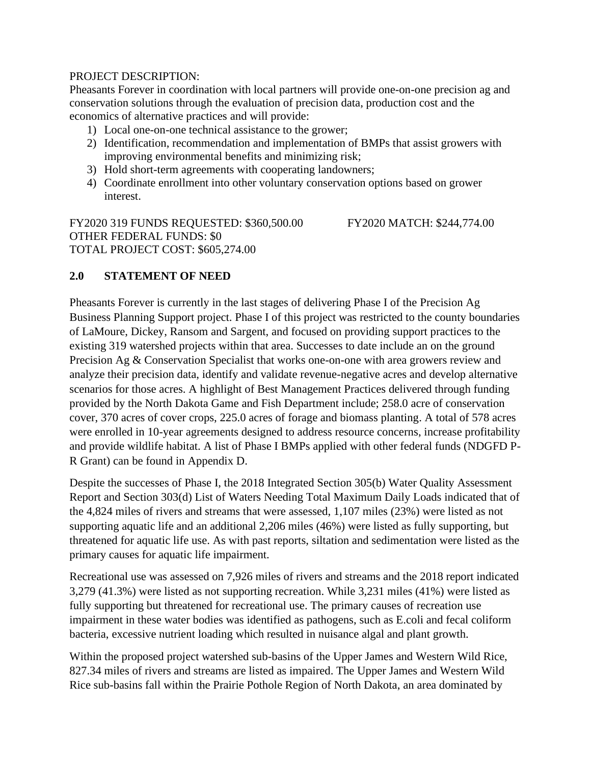# PROJECT DESCRIPTION:

Pheasants Forever in coordination with local partners will provide one-on-one precision ag and conservation solutions through the evaluation of precision data, production cost and the economics of alternative practices and will provide:

- 1) Local one-on-one technical assistance to the grower;
- 2) Identification, recommendation and implementation of BMPs that assist growers with improving environmental benefits and minimizing risk;
- 3) Hold short-term agreements with cooperating landowners;
- 4) Coordinate enrollment into other voluntary conservation options based on grower interest.

FY2020 319 FUNDS REQUESTED: \$360,500.00 FY2020 MATCH: \$244,774.00 OTHER FEDERAL FUNDS: \$0 TOTAL PROJECT COST: \$605,274.00

# **2.0 STATEMENT OF NEED**

Pheasants Forever is currently in the last stages of delivering Phase I of the Precision Ag Business Planning Support project. Phase I of this project was restricted to the county boundaries of LaMoure, Dickey, Ransom and Sargent, and focused on providing support practices to the existing 319 watershed projects within that area. Successes to date include an on the ground Precision Ag & Conservation Specialist that works one-on-one with area growers review and analyze their precision data, identify and validate revenue-negative acres and develop alternative scenarios for those acres. A highlight of Best Management Practices delivered through funding provided by the North Dakota Game and Fish Department include; 258.0 acre of conservation cover, 370 acres of cover crops, 225.0 acres of forage and biomass planting. A total of 578 acres were enrolled in 10-year agreements designed to address resource concerns, increase profitability and provide wildlife habitat. A list of Phase I BMPs applied with other federal funds (NDGFD P-R Grant) can be found in Appendix D.

Despite the successes of Phase I, the 2018 Integrated Section 305(b) Water Quality Assessment Report and Section 303(d) List of Waters Needing Total Maximum Daily Loads indicated that of the 4,824 miles of rivers and streams that were assessed, 1,107 miles (23%) were listed as not supporting aquatic life and an additional 2,206 miles (46%) were listed as fully supporting, but threatened for aquatic life use. As with past reports, siltation and sedimentation were listed as the primary causes for aquatic life impairment.

Recreational use was assessed on 7,926 miles of rivers and streams and the 2018 report indicated 3,279 (41.3%) were listed as not supporting recreation. While 3,231 miles (41%) were listed as fully supporting but threatened for recreational use. The primary causes of recreation use impairment in these water bodies was identified as pathogens, such as E.coli and fecal coliform bacteria, excessive nutrient loading which resulted in nuisance algal and plant growth.

Within the proposed project watershed sub-basins of the Upper James and Western Wild Rice, 827.34 miles of rivers and streams are listed as impaired. The Upper James and Western Wild Rice sub-basins fall within the Prairie Pothole Region of North Dakota, an area dominated by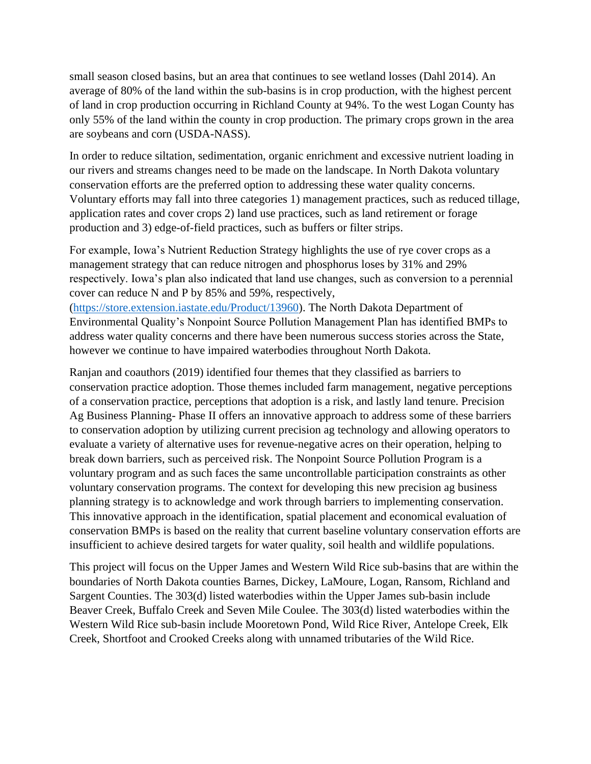small season closed basins, but an area that continues to see wetland losses (Dahl 2014). An average of 80% of the land within the sub-basins is in crop production, with the highest percent of land in crop production occurring in Richland County at 94%. To the west Logan County has only 55% of the land within the county in crop production. The primary crops grown in the area are soybeans and corn (USDA-NASS).

In order to reduce siltation, sedimentation, organic enrichment and excessive nutrient loading in our rivers and streams changes need to be made on the landscape. In North Dakota voluntary conservation efforts are the preferred option to addressing these water quality concerns. Voluntary efforts may fall into three categories 1) management practices, such as reduced tillage, application rates and cover crops 2) land use practices, such as land retirement or forage production and 3) edge-of-field practices, such as buffers or filter strips.

For example, Iowa's Nutrient Reduction Strategy highlights the use of rye cover crops as a management strategy that can reduce nitrogen and phosphorus loses by 31% and 29% respectively. Iowa's plan also indicated that land use changes, such as conversion to a perennial cover can reduce N and P by 85% and 59%, respectively,

[\(https://store.extension.iastate.edu/Product/13960\)](https://store.extension.iastate.edu/Product/13960). The North Dakota Department of Environmental Quality's Nonpoint Source Pollution Management Plan has identified BMPs to address water quality concerns and there have been numerous success stories across the State, however we continue to have impaired waterbodies throughout North Dakota.

Ranjan and coauthors (2019) identified four themes that they classified as barriers to conservation practice adoption. Those themes included farm management, negative perceptions of a conservation practice, perceptions that adoption is a risk, and lastly land tenure. Precision Ag Business Planning- Phase II offers an innovative approach to address some of these barriers to conservation adoption by utilizing current precision ag technology and allowing operators to evaluate a variety of alternative uses for revenue-negative acres on their operation, helping to break down barriers, such as perceived risk. The Nonpoint Source Pollution Program is a voluntary program and as such faces the same uncontrollable participation constraints as other voluntary conservation programs. The context for developing this new precision ag business planning strategy is to acknowledge and work through barriers to implementing conservation. This innovative approach in the identification, spatial placement and economical evaluation of conservation BMPs is based on the reality that current baseline voluntary conservation efforts are insufficient to achieve desired targets for water quality, soil health and wildlife populations.

This project will focus on the Upper James and Western Wild Rice sub-basins that are within the boundaries of North Dakota counties Barnes, Dickey, LaMoure, Logan, Ransom, Richland and Sargent Counties. The 303(d) listed waterbodies within the Upper James sub-basin include Beaver Creek, Buffalo Creek and Seven Mile Coulee. The 303(d) listed waterbodies within the Western Wild Rice sub-basin include Mooretown Pond, Wild Rice River, Antelope Creek, Elk Creek, Shortfoot and Crooked Creeks along with unnamed tributaries of the Wild Rice.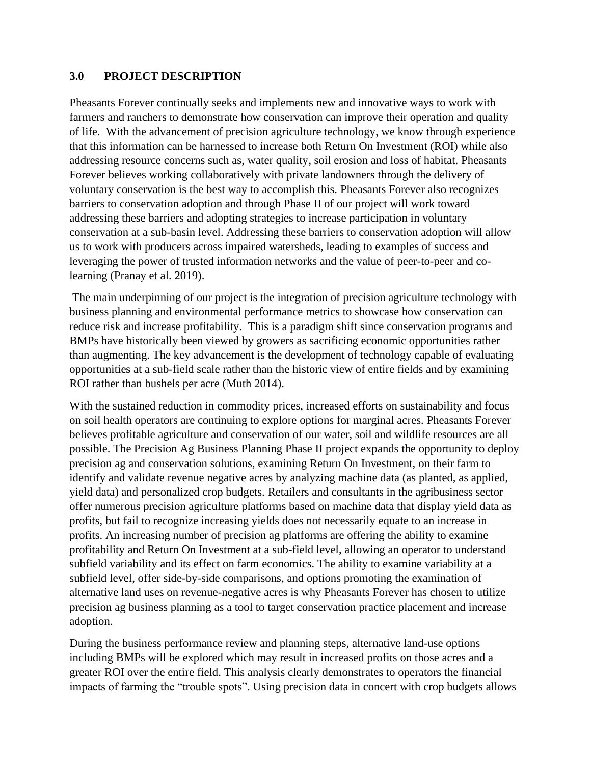## **3.0 PROJECT DESCRIPTION**

Pheasants Forever continually seeks and implements new and innovative ways to work with farmers and ranchers to demonstrate how conservation can improve their operation and quality of life. With the advancement of precision agriculture technology, we know through experience that this information can be harnessed to increase both Return On Investment (ROI) while also addressing resource concerns such as, water quality, soil erosion and loss of habitat. Pheasants Forever believes working collaboratively with private landowners through the delivery of voluntary conservation is the best way to accomplish this. Pheasants Forever also recognizes barriers to conservation adoption and through Phase II of our project will work toward addressing these barriers and adopting strategies to increase participation in voluntary conservation at a sub-basin level. Addressing these barriers to conservation adoption will allow us to work with producers across impaired watersheds, leading to examples of success and leveraging the power of trusted information networks and the value of peer-to-peer and colearning (Pranay et al. 2019).

The main underpinning of our project is the integration of precision agriculture technology with business planning and environmental performance metrics to showcase how conservation can reduce risk and increase profitability. This is a paradigm shift since conservation programs and BMPs have historically been viewed by growers as sacrificing economic opportunities rather than augmenting. The key advancement is the development of technology capable of evaluating opportunities at a sub-field scale rather than the historic view of entire fields and by examining ROI rather than bushels per acre (Muth 2014).

With the sustained reduction in commodity prices, increased efforts on sustainability and focus on soil health operators are continuing to explore options for marginal acres. Pheasants Forever believes profitable agriculture and conservation of our water, soil and wildlife resources are all possible. The Precision Ag Business Planning Phase II project expands the opportunity to deploy precision ag and conservation solutions, examining Return On Investment, on their farm to identify and validate revenue negative acres by analyzing machine data (as planted, as applied, yield data) and personalized crop budgets. Retailers and consultants in the agribusiness sector offer numerous precision agriculture platforms based on machine data that display yield data as profits, but fail to recognize increasing yields does not necessarily equate to an increase in profits. An increasing number of precision ag platforms are offering the ability to examine profitability and Return On Investment at a sub-field level, allowing an operator to understand subfield variability and its effect on farm economics. The ability to examine variability at a subfield level, offer side-by-side comparisons, and options promoting the examination of alternative land uses on revenue-negative acres is why Pheasants Forever has chosen to utilize precision ag business planning as a tool to target conservation practice placement and increase adoption.

During the business performance review and planning steps, alternative land-use options including BMPs will be explored which may result in increased profits on those acres and a greater ROI over the entire field. This analysis clearly demonstrates to operators the financial impacts of farming the "trouble spots". Using precision data in concert with crop budgets allows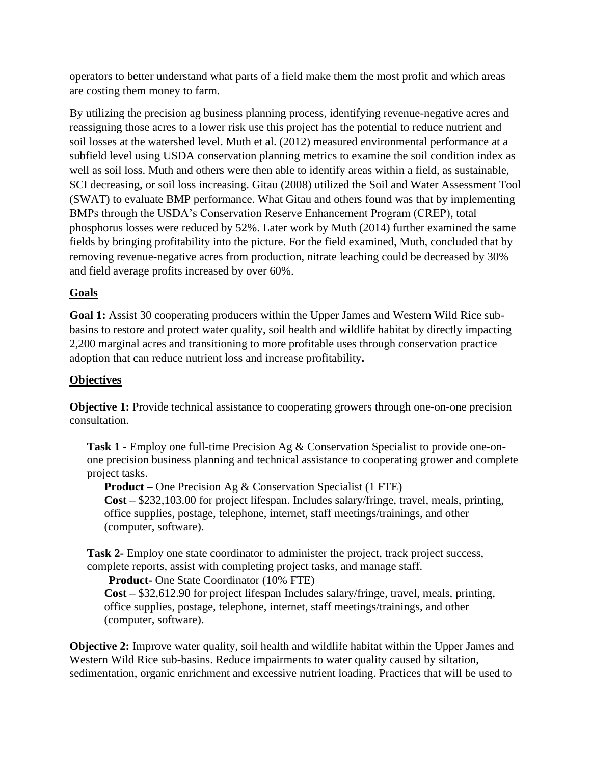operators to better understand what parts of a field make them the most profit and which areas are costing them money to farm.

By utilizing the precision ag business planning process, identifying revenue-negative acres and reassigning those acres to a lower risk use this project has the potential to reduce nutrient and soil losses at the watershed level. Muth et al. (2012) measured environmental performance at a subfield level using USDA conservation planning metrics to examine the soil condition index as well as soil loss. Muth and others were then able to identify areas within a field, as sustainable, SCI decreasing, or soil loss increasing. Gitau (2008) utilized the Soil and Water Assessment Tool (SWAT) to evaluate BMP performance. What Gitau and others found was that by implementing BMPs through the USDA's Conservation Reserve Enhancement Program (CREP), total phosphorus losses were reduced by 52%. Later work by Muth (2014) further examined the same fields by bringing profitability into the picture. For the field examined, Muth, concluded that by removing revenue-negative acres from production, nitrate leaching could be decreased by 30% and field average profits increased by over 60%.

# **Goals**

**Goal 1:** Assist 30 cooperating producers within the Upper James and Western Wild Rice subbasins to restore and protect water quality, soil health and wildlife habitat by directly impacting 2,200 marginal acres and transitioning to more profitable uses through conservation practice adoption that can reduce nutrient loss and increase profitability**.**

# **Objectives**

**Objective 1:** Provide technical assistance to cooperating growers through one-on-one precision consultation.

**Task 1 -** Employ one full-time Precision Ag & Conservation Specialist to provide one-onone precision business planning and technical assistance to cooperating grower and complete project tasks.

**Product –** One Precision Ag & Conservation Specialist (1 FTE) **Cost –** \$232,103.00 for project lifespan. Includes salary/fringe, travel, meals, printing, office supplies, postage, telephone, internet, staff meetings/trainings, and other (computer, software).

**Task 2-** Employ one state coordinator to administer the project, track project success, complete reports, assist with completing project tasks, and manage staff.

# **Product-** One State Coordinator (10% FTE)

**Cost –** \$32,612.90 for project lifespan Includes salary/fringe, travel, meals, printing, office supplies, postage, telephone, internet, staff meetings/trainings, and other (computer, software).

**Objective 2:** Improve water quality, soil health and wildlife habitat within the Upper James and Western Wild Rice sub-basins. Reduce impairments to water quality caused by siltation, sedimentation, organic enrichment and excessive nutrient loading. Practices that will be used to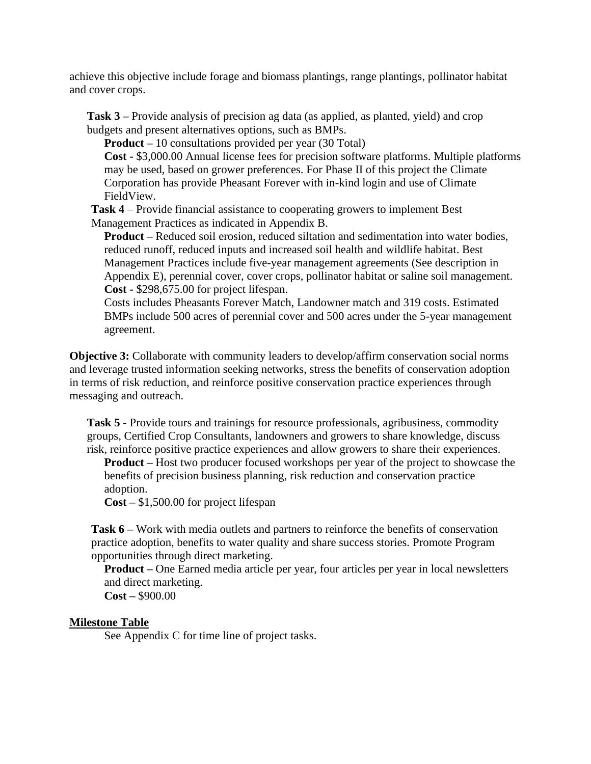achieve this objective include forage and biomass plantings, range plantings, pollinator habitat and cover crops.

**Task 3 –** Provide analysis of precision ag data (as applied, as planted, yield) and crop budgets and present alternatives options, such as BMPs.

**Product –** 10 consultations provided per year (30 Total)

**Cost -** \$3,000.00 Annual license fees for precision software platforms. Multiple platforms may be used, based on grower preferences. For Phase II of this project the Climate Corporation has provide Pheasant Forever with in-kind login and use of Climate FieldView.

**Task 4** – Provide financial assistance to cooperating growers to implement Best Management Practices as indicated in Appendix B.

**Product –** Reduced soil erosion, reduced siltation and sedimentation into water bodies, reduced runoff, reduced inputs and increased soil health and wildlife habitat. Best Management Practices include five-year management agreements (See description in Appendix E), perennial cover, cover crops, pollinator habitat or saline soil management. **Cost -** \$298,675.00 for project lifespan.

Costs includes Pheasants Forever Match, Landowner match and 319 costs. Estimated BMPs include 500 acres of perennial cover and 500 acres under the 5-year management agreement.

**Objective 3:** Collaborate with community leaders to develop/affirm conservation social norms and leverage trusted information seeking networks, stress the benefits of conservation adoption in terms of risk reduction, and reinforce positive conservation practice experiences through messaging and outreach.

**Task 5** - Provide tours and trainings for resource professionals, agribusiness, commodity groups, Certified Crop Consultants, landowners and growers to share knowledge, discuss risk, reinforce positive practice experiences and allow growers to share their experiences.

**Product –** Host two producer focused workshops per year of the project to showcase the benefits of precision business planning, risk reduction and conservation practice adoption.

**Cost –** \$1,500.00 for project lifespan

**Task 6 –** Work with media outlets and partners to reinforce the benefits of conservation practice adoption, benefits to water quality and share success stories. Promote Program opportunities through direct marketing.

**Product –** One Earned media article per year, four articles per year in local newsletters and direct marketing.

**Cost –** \$900.00

#### **Milestone Table**

See Appendix C for time line of project tasks.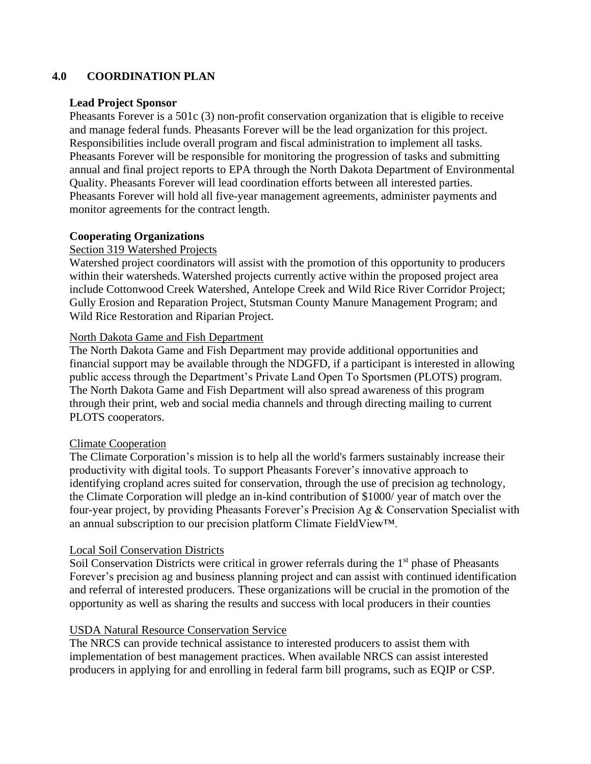# **4.0 COORDINATION PLAN**

#### **Lead Project Sponsor**

Pheasants Forever is a 501c (3) non-profit conservation organization that is eligible to receive and manage federal funds. Pheasants Forever will be the lead organization for this project. Responsibilities include overall program and fiscal administration to implement all tasks. Pheasants Forever will be responsible for monitoring the progression of tasks and submitting annual and final project reports to EPA through the North Dakota Department of Environmental Quality. Pheasants Forever will lead coordination efforts between all interested parties. Pheasants Forever will hold all five-year management agreements, administer payments and monitor agreements for the contract length.

# **Cooperating Organizations**

## Section 319 Watershed Projects

Watershed project coordinators will assist with the promotion of this opportunity to producers within their watersheds. Watershed projects currently active within the proposed project area include Cottonwood Creek Watershed, Antelope Creek and Wild Rice River Corridor Project; Gully Erosion and Reparation Project, Stutsman County Manure Management Program; and Wild Rice Restoration and Riparian Project.

#### North Dakota Game and Fish Department

The North Dakota Game and Fish Department may provide additional opportunities and financial support may be available through the NDGFD, if a participant is interested in allowing public access through the Department's Private Land Open To Sportsmen (PLOTS) program. The North Dakota Game and Fish Department will also spread awareness of this program through their print, web and social media channels and through directing mailing to current PLOTS cooperators.

#### Climate Cooperation

The Climate Corporation's mission is to help all the world's farmers sustainably increase their productivity with digital tools. To support Pheasants Forever's innovative approach to identifying cropland acres suited for conservation, through the use of precision ag technology, the Climate Corporation will pledge an in-kind contribution of \$1000/ year of match over the four-year project, by providing Pheasants Forever's Precision Ag & Conservation Specialist with an annual subscription to our precision platform Climate FieldView™.

#### Local Soil Conservation Districts

Soil Conservation Districts were critical in grower referrals during the  $1<sup>st</sup>$  phase of Pheasants Forever's precision ag and business planning project and can assist with continued identification and referral of interested producers. These organizations will be crucial in the promotion of the opportunity as well as sharing the results and success with local producers in their counties

# USDA Natural Resource Conservation Service

The NRCS can provide technical assistance to interested producers to assist them with implementation of best management practices. When available NRCS can assist interested producers in applying for and enrolling in federal farm bill programs, such as EQIP or CSP.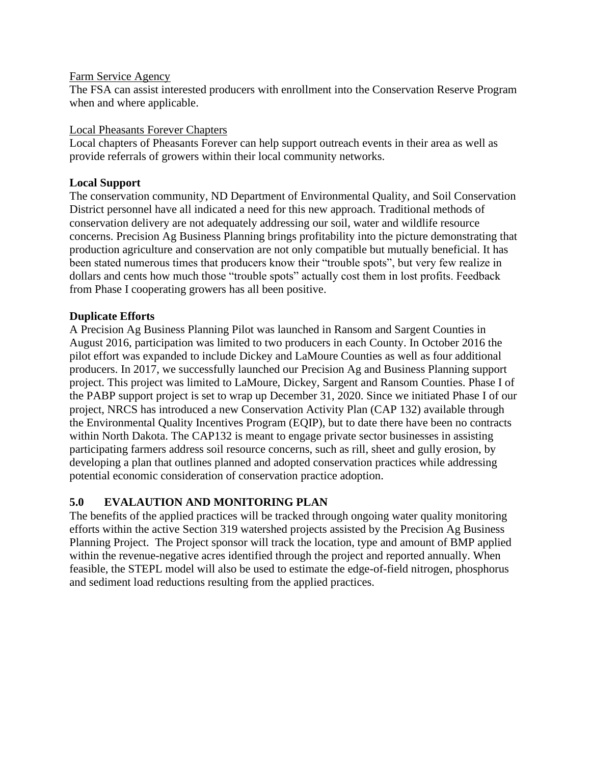#### Farm Service Agency

The FSA can assist interested producers with enrollment into the Conservation Reserve Program when and where applicable.

#### Local Pheasants Forever Chapters

Local chapters of Pheasants Forever can help support outreach events in their area as well as provide referrals of growers within their local community networks.

## **Local Support**

The conservation community, ND Department of Environmental Quality, and Soil Conservation District personnel have all indicated a need for this new approach. Traditional methods of conservation delivery are not adequately addressing our soil, water and wildlife resource concerns. Precision Ag Business Planning brings profitability into the picture demonstrating that production agriculture and conservation are not only compatible but mutually beneficial. It has been stated numerous times that producers know their "trouble spots", but very few realize in dollars and cents how much those "trouble spots" actually cost them in lost profits. Feedback from Phase I cooperating growers has all been positive.

## **Duplicate Efforts**

A Precision Ag Business Planning Pilot was launched in Ransom and Sargent Counties in August 2016, participation was limited to two producers in each County. In October 2016 the pilot effort was expanded to include Dickey and LaMoure Counties as well as four additional producers. In 2017, we successfully launched our Precision Ag and Business Planning support project. This project was limited to LaMoure, Dickey, Sargent and Ransom Counties. Phase I of the PABP support project is set to wrap up December 31, 2020. Since we initiated Phase I of our project, NRCS has introduced a new Conservation Activity Plan (CAP 132) available through the Environmental Quality Incentives Program (EQIP), but to date there have been no contracts within North Dakota. The CAP132 is meant to engage private sector businesses in assisting participating farmers address soil resource concerns, such as rill, sheet and gully erosion, by developing a plan that outlines planned and adopted conservation practices while addressing potential economic consideration of conservation practice adoption.

# **5.0 EVALAUTION AND MONITORING PLAN**

The benefits of the applied practices will be tracked through ongoing water quality monitoring efforts within the active Section 319 watershed projects assisted by the Precision Ag Business Planning Project. The Project sponsor will track the location, type and amount of BMP applied within the revenue-negative acres identified through the project and reported annually. When feasible, the STEPL model will also be used to estimate the edge-of-field nitrogen, phosphorus and sediment load reductions resulting from the applied practices.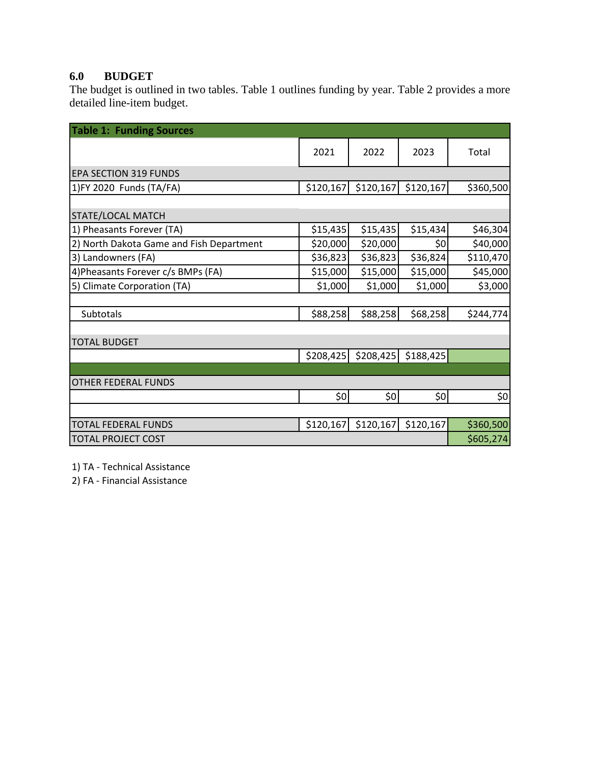# **6.0 BUDGET**

The budget is outlined in two tables. Table 1 outlines funding by year. Table 2 provides a more detailed line-item budget.

| <b>Table 1: Funding Sources</b>          |           |                       |           |           |
|------------------------------------------|-----------|-----------------------|-----------|-----------|
|                                          | 2021      | 2022                  | 2023      | Total     |
| <b>EPA SECTION 319 FUNDS</b>             |           |                       |           |           |
| 1)FY 2020 Funds (TA/FA)                  | \$120,167 | \$120,167             | \$120,167 | \$360,500 |
|                                          |           |                       |           |           |
| STATE/LOCAL MATCH                        |           |                       |           |           |
| 1) Pheasants Forever (TA)                | \$15,435  | \$15,435              | \$15,434  | \$46,304  |
| 2) North Dakota Game and Fish Department | \$20,000  | \$20,000              | \$0       | \$40,000  |
| 3) Landowners (FA)                       | \$36,823  | \$36,823              | \$36,824  | \$110,470 |
| 4) Pheasants Forever c/s BMPs (FA)       | \$15,000  | \$15,000              | \$15,000  | \$45,000  |
| 5) Climate Corporation (TA)              | \$1,000   | \$1,000               | \$1,000   | \$3,000   |
|                                          |           |                       |           |           |
| <b>Subtotals</b>                         | \$88,258  | \$88,258              | \$68,258  | \$244,774 |
|                                          |           |                       |           |           |
| <b>TOTAL BUDGET</b>                      |           |                       |           |           |
|                                          |           | $$208,425$ $$208,425$ | \$188,425 |           |
|                                          |           |                       |           |           |
| <b>OTHER FEDERAL FUNDS</b>               |           |                       |           |           |
|                                          | 20        | \$0                   | \$0       | \$0       |
|                                          |           |                       |           |           |
| <b>TOTAL FEDERAL FUNDS</b>               | \$120,167 | \$120,167             | \$120,167 | \$360,500 |
| <b>TOTAL PROJECT COST</b>                |           |                       |           | \$605,274 |

1) TA - Technical Assistance

2) FA - Financial Assistance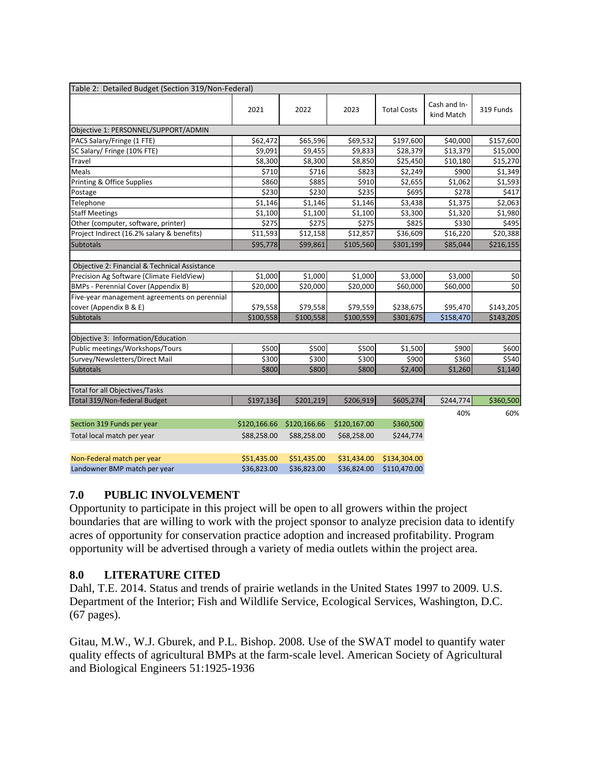| Table 2: Detailed Budget (Section 319/Non-Federal) |              |              |              |                    |                            |           |
|----------------------------------------------------|--------------|--------------|--------------|--------------------|----------------------------|-----------|
|                                                    | 2021         | 2022         | 2023         | <b>Total Costs</b> | Cash and In-<br>kind Match | 319 Funds |
| Objective 1: PERSONNEL/SUPPORT/ADMIN               |              |              |              |                    |                            |           |
| PACS Salary/Fringe (1 FTE)                         | \$62,472     | \$65,596     | \$69,532     | \$197,600          | \$40,000                   | \$157,600 |
| SC Salary/ Fringe (10% FTE)                        | \$9,091      | \$9,455      | \$9,833      | \$28,379           | \$13,379                   | \$15,000  |
| Travel                                             | \$8,300      | \$8,300      | \$8,850      | \$25,450           | \$10,180                   | \$15,270  |
| Meals                                              | \$710        | \$716        | \$823        | \$2,249            | \$900                      | \$1,349   |
| Printing & Office Supplies                         | \$860        | \$885        | \$910        | \$2,655            | \$1,062                    | \$1,593   |
| Postage                                            | \$230        | \$230        | \$235        | \$695              | \$278                      | \$417     |
| Telephone                                          | \$1,146      | \$1,146      | \$1,146      | \$3,438            | \$1,375                    | \$2,063   |
| <b>Staff Meetings</b>                              | \$1,100      | \$1,100      | \$1,100      | \$3,300            | \$1,320                    | \$1,980   |
| Other (computer, software, printer)                | \$275        | \$275        | \$275        | \$825              | \$330                      | \$495     |
| Project Indirect (16.2% salary & benefits)         | \$11,593     | \$12,158     | \$12,857     | \$36,609           | \$16,220                   | \$20,388  |
| <b>Subtotals</b>                                   | \$95,778     | \$99,861     | \$105,560    | \$301,199          | \$85,044                   | \$216,155 |
| Objective 2: Financial & Technical Assistance      |              |              |              |                    |                            |           |
| Precision Ag Software (Climate FieldView)          | \$1,000      | \$1,000      | \$1,000      | \$3,000            | \$3,000                    | \$0       |
| <b>BMPs - Perennial Cover (Appendix B)</b>         | \$20,000     | \$20,000     | \$20,000     | \$60,000           | \$60,000                   | \$0       |
| Five-year management agreements on perennial       |              |              |              |                    |                            |           |
| cover (Appendix B & E)                             | \$79,558     | \$79,558     | \$79,559     | \$238,675          | \$95,470                   | \$143,205 |
| <b>Subtotals</b>                                   | \$100,558    | \$100,558    | \$100,559    | \$301,675          | \$158,470                  | \$143,205 |
| Objective 3: Information/Education                 |              |              |              |                    |                            |           |
| Public meetings/Workshops/Tours                    | \$500        | \$500        | \$500        | \$1,500            | \$900                      | \$600     |
| Survey/Newsletters/Direct Mail                     | \$300        | \$300        | \$300        | \$900              | \$360                      | \$540     |
| Subtotals                                          | \$800        | \$800        | \$800        | \$2,400            | \$1,260                    | \$1,140   |
| <b>Total for all Objectives/Tasks</b>              |              |              |              |                    |                            |           |
| Total 319/Non-federal Budget                       | \$197,136    | \$201,219    | \$206,919    | \$605,274          | \$244,774                  | \$360,500 |
|                                                    |              |              |              |                    | 40%                        | 60%       |
| Section 319 Funds per year                         | \$120,166.66 | \$120,166.66 | \$120,167.00 | \$360,500          |                            |           |
| Total local match per year                         | \$88,258.00  | \$88,258.00  | \$68,258.00  | \$244,774          |                            |           |
| Non-Federal match per year                         | \$51,435.00  | \$51,435.00  | \$31,434.00  | \$134,304.00       |                            |           |
| Landowner BMP match per year                       | \$36,823.00  | \$36,823.00  | \$36,824.00  | \$110,470.00       |                            |           |

# **7.0 PUBLIC INVOLVEMENT**

Opportunity to participate in this project will be open to all growers within the project boundaries that are willing to work with the project sponsor to analyze precision data to identify acres of opportunity for conservation practice adoption and increased profitability. Program opportunity will be advertised through a variety of media outlets within the project area.

# **8.0 LITERATURE CITED**

Dahl, T.E. 2014. Status and trends of prairie wetlands in the United States 1997 to 2009. U.S. Department of the Interior; Fish and Wildlife Service, Ecological Services, Washington, D.C. (67 pages).

Gitau, M.W., W.J. Gburek, and P.L. Bishop. 2008. Use of the SWAT model to quantify water quality effects of agricultural BMPs at the farm-scale level. American Society of Agricultural and Biological Engineers 51:1925-1936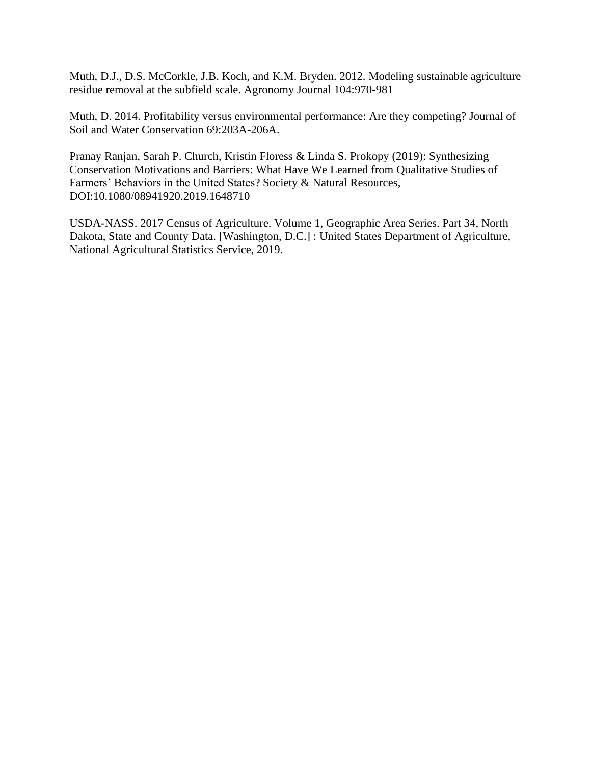Muth, D.J., D.S. McCorkle, J.B. Koch, and K.M. Bryden. 2012. Modeling sustainable agriculture residue removal at the subfield scale. Agronomy Journal 104:970-981

Muth, D. 2014. Profitability versus environmental performance: Are they competing? Journal of Soil and Water Conservation 69:203A-206A.

Pranay Ranjan, Sarah P. Church, Kristin Floress & Linda S. Prokopy (2019): Synthesizing Conservation Motivations and Barriers: What Have We Learned from Qualitative Studies of Farmers' Behaviors in the United States? Society & Natural Resources, DOI:10.1080/08941920.2019.1648710

USDA-NASS. 2017 Census of Agriculture. Volume 1, Geographic Area Series. Part 34, North Dakota, State and County Data. [Washington, D.C.] : United States Department of Agriculture, National Agricultural Statistics Service, 2019.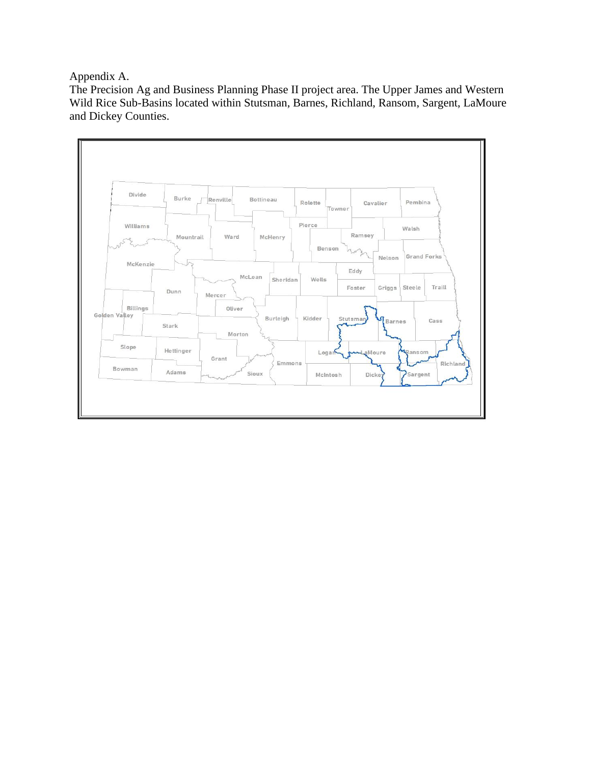Appendix A.

The Precision Ag and Business Planning Phase II project area. The Upper James and Western Wild Rice Sub-Basins located within Stutsman, Barnes, Richland, Ransom, Sargent, LaMoure and Dickey Counties.

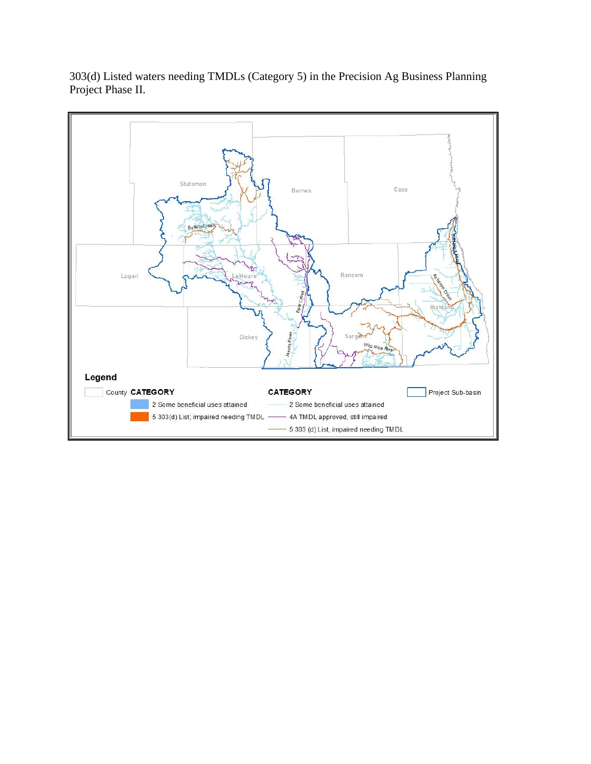303(d) Listed waters needing TMDLs (Category 5) in the Precision Ag Business Planning Project Phase II.

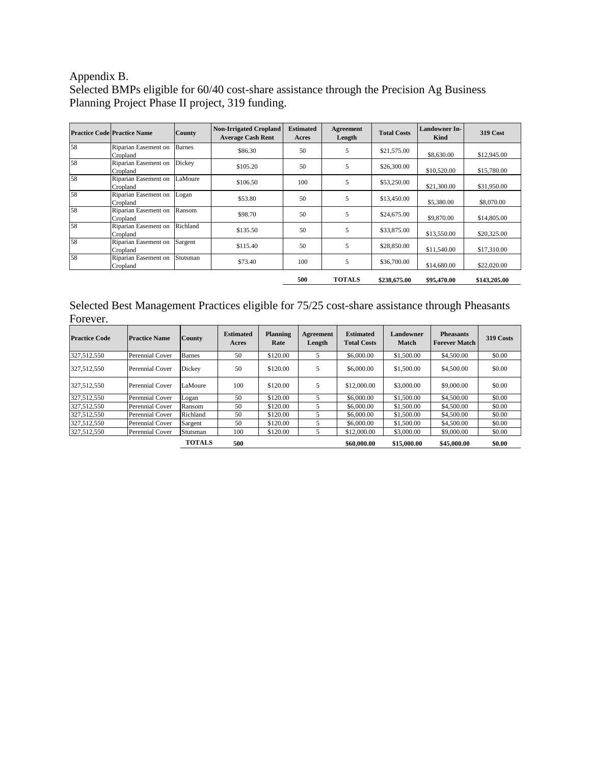# Appendix B.

Selected BMPs eligible for 60/40 cost-share assistance through the Precision Ag Business Planning Project Phase II project, 319 funding.

|    | <b>Practice Code Practice Name</b> | <b>County</b> | <b>Non-Irrigated Cropland</b><br><b>Average Cash Rent</b> | <b>Estimated</b><br>Acres | Agreement<br>Length | <b>Total Costs</b> | <b>Landowner In-</b><br>Kind | <b>319 Cost</b> |
|----|------------------------------------|---------------|-----------------------------------------------------------|---------------------------|---------------------|--------------------|------------------------------|-----------------|
| 58 | Riparian Easement on<br>Cropland   | <b>Barnes</b> | \$86.30                                                   | 50                        | 5                   | \$21,575.00        | \$8,630.00                   | \$12,945.00     |
| 58 | Riparian Easement on<br>Cropland   | Dickey        | \$105.20                                                  | 50                        | 5                   | \$26,300.00        | \$10,520.00                  | \$15,780.00     |
| 58 | Riparian Easement on<br>Cropland   | LaMoure       | \$106.50                                                  | 100                       | 5                   | \$53,250.00        | \$21,300.00                  | \$31,950.00     |
| 58 | Riparian Easement on<br>Cropland   | Logan         | \$53.80                                                   | 50                        | 5                   | \$13,450.00        | \$5,380.00                   | \$8,070.00      |
| 58 | Riparian Easement on<br>Cropland   | Ransom        | \$98.70                                                   | 50                        | 5                   | \$24,675.00        | \$9,870.00                   | \$14,805.00     |
| 58 | Riparian Easement on<br>Cropland   | Richland      | \$135.50                                                  | 50                        | 5                   | \$33,875.00        | \$13,550.00                  | \$20,325.00     |
| 58 | Riparian Easement on<br>Cropland   | Sargent       | \$115.40                                                  | 50                        | 5                   | \$28,850.00        | \$11,540.00                  | \$17,310.00     |
| 58 | Riparian Easement on<br>Cropland   | Stutsman      | \$73.40                                                   | 100                       | 5                   | \$36,700.00        | \$14,680.00                  | \$22,020.00     |
|    |                                    |               |                                                           | 500                       | <b>TOTALS</b>       | \$238,675.00       | \$95,470.00                  | \$143,205.00    |

Selected Best Management Practices eligible for 75/25 cost-share assistance through Pheasants Forever.

| <b>Practice Code</b> | <b>Practice Name</b>   | <b>County</b> | <b>Estimated</b><br>Acres | <b>Planning</b><br>Rate | Agreement<br>Length | <b>Estimated</b><br><b>Total Costs</b> | <b>Landowner</b><br><b>Match</b> | <b>Pheasants</b><br><b>Forever Match</b> | 319 Costs |
|----------------------|------------------------|---------------|---------------------------|-------------------------|---------------------|----------------------------------------|----------------------------------|------------------------------------------|-----------|
| 327.512.550          | Perennial Cover        | <b>Barnes</b> | 50                        | \$120.00                | 5                   | \$6,000.00                             | \$1,500.00                       | \$4,500.00                               | \$0.00    |
| 327,512,550          | Perennial Cover        | Dickey        | 50                        | \$120.00                |                     | \$6,000.00                             | \$1,500.00                       | \$4,500.00                               | \$0.00    |
| 327,512,550          | Perennial Cover        | LaMoure       | 100                       | \$120.00                |                     | \$12,000.00                            | \$3,000.00                       | \$9,000.00                               | \$0.00    |
| 327.512.550          | <b>Perennial Cover</b> | Logan         | 50                        | \$120.00                | 5                   | \$6,000.00                             | \$1,500.00                       | \$4,500.00                               | \$0.00    |
| 327.512.550          | Perennial Cover        | Ransom        | 50                        | \$120.00                |                     | \$6,000.00                             | \$1,500.00                       | \$4,500.00                               | \$0.00    |
| 327,512,550          | <b>Perennial Cover</b> | Richland      | 50                        | \$120.00                | 5                   | \$6,000.00                             | \$1,500.00                       | \$4,500.00                               | \$0.00    |
| 327,512,550          | Perennial Cover        | Sargent       | 50                        | \$120.00                | 5                   | \$6,000.00                             | \$1,500.00                       | \$4,500.00                               | \$0.00    |
| 327,512,550          | <b>Perennial Cover</b> | Stutsman      | 100                       | \$120.00                | 5                   | \$12,000.00                            | \$3,000.00                       | \$9,000.00                               | \$0.00    |
|                      |                        | <b>TOTALS</b> | 500                       |                         |                     | \$60,000.00                            | \$15,000.00                      | \$45,000.00                              | \$0.00    |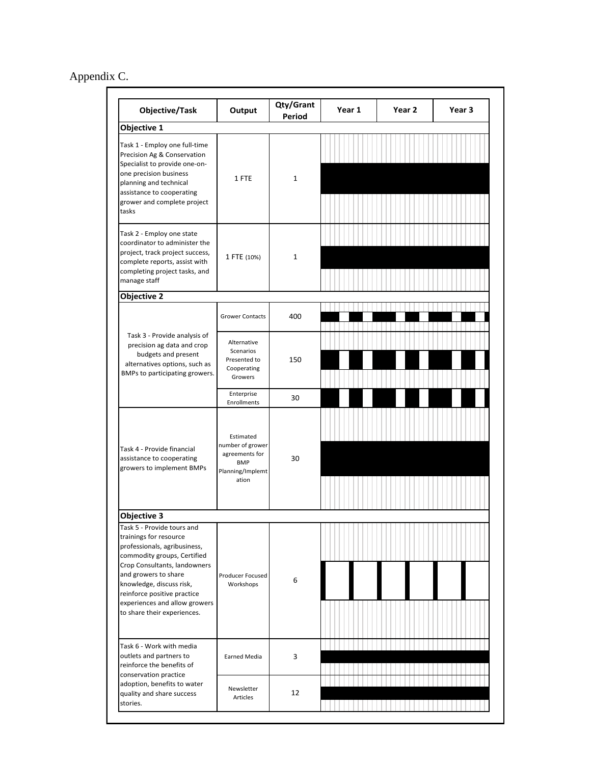# Appendix C.

| Objective/Task                                                                                                                                                                                                                                                                                         | Output                                                                                     | Qty/Grant<br><b>Period</b> | Year 1 | Year 2 | Year <sub>3</sub> |
|--------------------------------------------------------------------------------------------------------------------------------------------------------------------------------------------------------------------------------------------------------------------------------------------------------|--------------------------------------------------------------------------------------------|----------------------------|--------|--------|-------------------|
| Objective 1                                                                                                                                                                                                                                                                                            |                                                                                            |                            |        |        |                   |
| Task 1 - Employ one full-time<br>Precision Ag & Conservation<br>Specialist to provide one-on-<br>one precision business<br>planning and technical<br>assistance to cooperating<br>grower and complete project<br>tasks                                                                                 | 1 FTE                                                                                      | $\mathbf{1}$               |        |        |                   |
| Task 2 - Employ one state<br>coordinator to administer the<br>project, track project success,<br>complete reports, assist with<br>completing project tasks, and<br>manage staff                                                                                                                        | 1 FTE (10%)                                                                                | $\mathbf{1}$               |        |        |                   |
| <b>Objective 2</b>                                                                                                                                                                                                                                                                                     |                                                                                            |                            |        |        |                   |
|                                                                                                                                                                                                                                                                                                        | <b>Grower Contacts</b>                                                                     | 400                        |        |        |                   |
| Task 3 - Provide analysis of<br>precision ag data and crop<br>budgets and present<br>alternatives options, such as<br>BMPs to participating growers.                                                                                                                                                   | Alternative<br>Scenarios<br>Presented to<br>Cooperating<br>Growers                         | 150                        |        |        |                   |
|                                                                                                                                                                                                                                                                                                        | Enterprise<br>Enrollments                                                                  | 30                         |        |        |                   |
| Task 4 - Provide financial<br>assistance to cooperating<br>growers to implement BMPs                                                                                                                                                                                                                   | Estimated<br>number of grower<br>agreements for<br><b>BMP</b><br>Planning/Implemt<br>ation | 30                         |        |        |                   |
| <b>Objective 3</b>                                                                                                                                                                                                                                                                                     |                                                                                            |                            |        |        |                   |
| Task 5 - Provide tours and<br>trainings for resource<br>professionals, agribusiness,<br>commodity groups, Certified<br>Crop Consultants, landowners<br>and growers to share<br>knowledge, discuss risk,<br>reinforce positive practice<br>experiences and allow growers<br>to share their experiences. | Producer Focused<br>Workshops                                                              | 6                          |        |        |                   |
| Task 6 - Work with media<br>outlets and partners to<br>reinforce the benefits of<br>conservation practice                                                                                                                                                                                              | Earned Media                                                                               | 3                          |        |        |                   |
| adoption, benefits to water<br>quality and share success<br>stories.                                                                                                                                                                                                                                   | Newsletter<br>Articles                                                                     | 12                         |        |        |                   |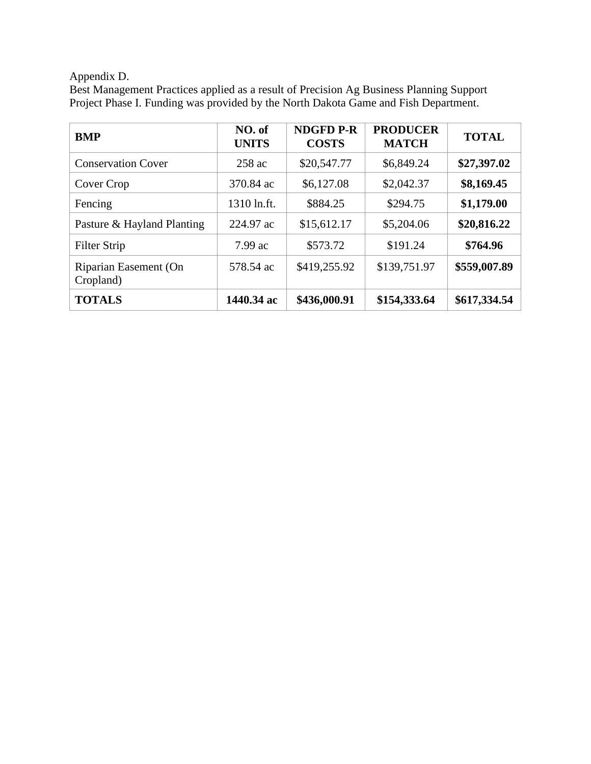# Appendix D.

| Best Management Practices applied as a result of Precision Ag Business Planning Support |
|-----------------------------------------------------------------------------------------|
| Project Phase I. Funding was provided by the North Dakota Game and Fish Department.     |

| <b>BMP</b>                         | NO. of<br><b>UNITS</b> | <b>NDGFD P-R</b><br><b>COSTS</b> | <b>PRODUCER</b><br><b>MATCH</b> | <b>TOTAL</b> |
|------------------------------------|------------------------|----------------------------------|---------------------------------|--------------|
| <b>Conservation Cover</b>          | 258 ac                 | \$20,547.77                      | \$6,849.24                      | \$27,397.02  |
| Cover Crop                         | 370.84 ac              | \$6,127.08                       | \$2,042.37                      | \$8,169.45   |
| Fencing                            | 1310 ln.ft.            | \$884.25                         | \$294.75                        | \$1,179.00   |
| Pasture & Hayland Planting         | 224.97 ac              | \$15,612.17                      | \$5,204.06                      | \$20,816.22  |
| Filter Strip                       | $7.99$ ac              | \$573.72                         | \$191.24                        | \$764.96     |
| Riparian Easement (On<br>Cropland) | 578.54 ac              | \$419,255.92                     | \$139,751.97                    | \$559,007.89 |
| <b>TOTALS</b>                      | 1440.34 ac             | \$436,000.91                     | \$154,333.64                    | \$617,334.54 |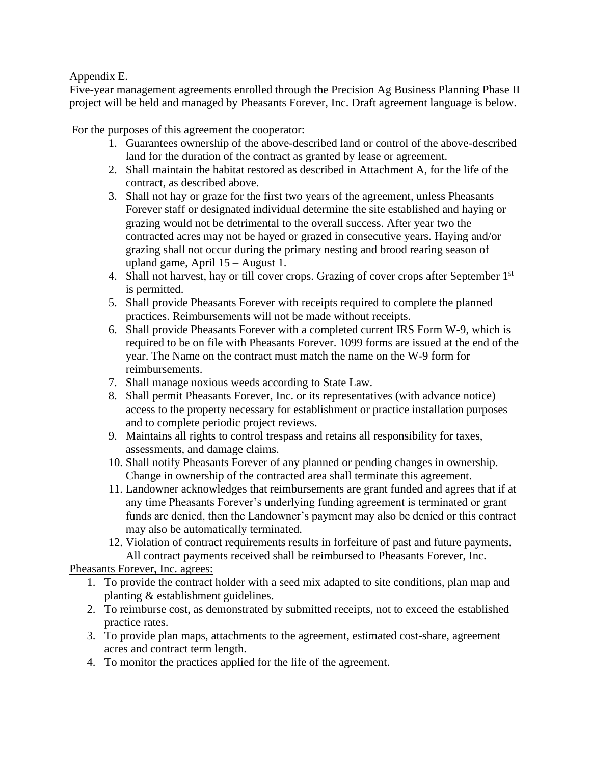# Appendix E.

Five-year management agreements enrolled through the Precision Ag Business Planning Phase II project will be held and managed by Pheasants Forever, Inc. Draft agreement language is below.

For the purposes of this agreement the cooperator:

- 1. Guarantees ownership of the above-described land or control of the above-described land for the duration of the contract as granted by lease or agreement.
- 2. Shall maintain the habitat restored as described in Attachment A, for the life of the contract, as described above.
- 3. Shall not hay or graze for the first two years of the agreement, unless Pheasants Forever staff or designated individual determine the site established and haying or grazing would not be detrimental to the overall success. After year two the contracted acres may not be hayed or grazed in consecutive years. Haying and/or grazing shall not occur during the primary nesting and brood rearing season of upland game, April 15 – August 1.
- 4. Shall not harvest, hay or till cover crops. Grazing of cover crops after September 1<sup>st</sup> is permitted.
- 5. Shall provide Pheasants Forever with receipts required to complete the planned practices. Reimbursements will not be made without receipts.
- 6. Shall provide Pheasants Forever with a completed current IRS Form W-9, which is required to be on file with Pheasants Forever. 1099 forms are issued at the end of the year. The Name on the contract must match the name on the W-9 form for reimbursements.
- 7. Shall manage noxious weeds according to State Law.
- 8. Shall permit Pheasants Forever, Inc. or its representatives (with advance notice) access to the property necessary for establishment or practice installation purposes and to complete periodic project reviews.
- 9. Maintains all rights to control trespass and retains all responsibility for taxes, assessments, and damage claims.
- 10. Shall notify Pheasants Forever of any planned or pending changes in ownership. Change in ownership of the contracted area shall terminate this agreement.
- 11. Landowner acknowledges that reimbursements are grant funded and agrees that if at any time Pheasants Forever's underlying funding agreement is terminated or grant funds are denied, then the Landowner's payment may also be denied or this contract may also be automatically terminated.
- 12. Violation of contract requirements results in forfeiture of past and future payments. All contract payments received shall be reimbursed to Pheasants Forever, Inc.

Pheasants Forever, Inc. agrees:

- 1. To provide the contract holder with a seed mix adapted to site conditions, plan map and planting & establishment guidelines.
- 2. To reimburse cost, as demonstrated by submitted receipts, not to exceed the established practice rates.
- 3. To provide plan maps, attachments to the agreement, estimated cost-share, agreement acres and contract term length.
- 4. To monitor the practices applied for the life of the agreement.